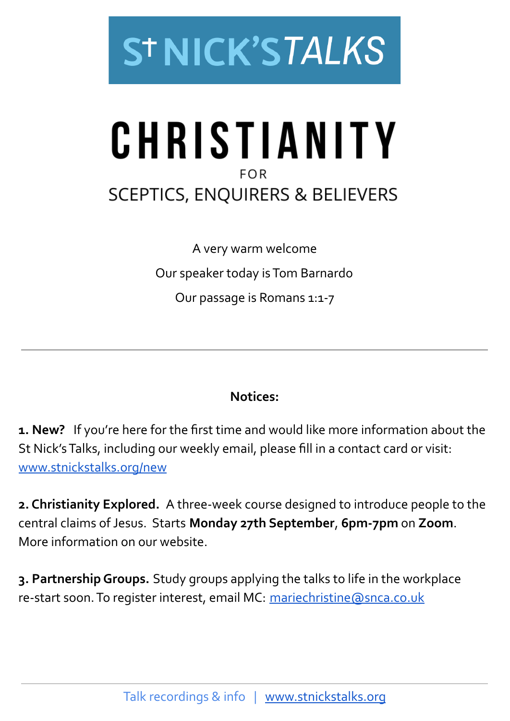

## CHRISTIANITY **FOR SCEPTICS, ENQUIRERS & BELIEVERS**

A very warm welcome Our speaker today isTom Barnardo Our passage is Romans 1:1-7

## **Notices:**

**1. New?** If you're here for the first time and would like more information about the St Nick'sTalks, including our weekly email, please fill in a contact card or visit: [www.stnickstalks.org/new](http://www.stnickstalks.org/new)

**2. Christianity Explored.** A three-week course designed to introduce people to the central claims ofJesus. Starts **Monday 27th September**, **6pm-7pm** on **Zoom**. More information on our website.

**3. PartnershipGroups.** Study groups applying the talks to life in the workplace re-start soon. To register interest, email MC: [mariechristine@snca.co.uk](mailto:mariechristine@snca.co.uk)